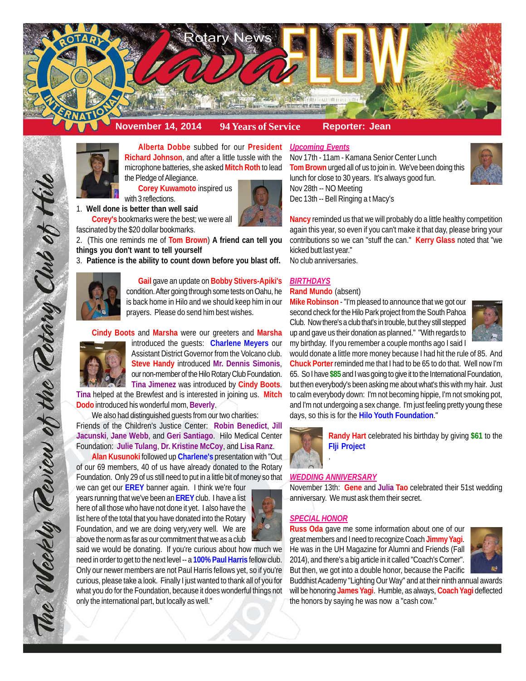

**Alberta Dobbe** subbed for our **President Richard Johnson**, and after a little tussle with the microphone batteries, she asked **Mitch Roth** to lead the Pledge of Allegiance.

**Corey Kuwamoto** inspired us

with 3 reflections.

1. **Well done is better than well said Corey's** bookmarks were the best; we were all fascinated by the \$20 dollar bookmarks.

2. (This one reminds me of **Tom Brown**) **A friend can tell you things you don't want to tell yourself**

3. **Patience is the ability to count down before you blast off.**



**Gail** gave an update on **Bobby Stivers-Apiki's** condition. After going through some tests on Oahu, he is back home in Hilo and we should keep him in our prayers. Please do send him best wishes.

**Cindy Boots** and **Marsha** were our greeters and **Marsha**



The Weekly Teview of the Tetary Club of Hilo

introduced the guests: **Charlene Meyers** our Assistant District Governor from the Volcano club. **Steve Handy** introduced **Mr. Dennis Simonis**, our non-member of the Hilo Rotary Club Foundation. **Tina Jimenez** was introduced by **Cindy Boots**.

**Tina** helped at the Brewfest and is interested in joining us. **Mitch Dodo** introduced his wonderful mom, **Beverly**.

We also had distinguished guests from our two charities: Friends of the Children's Justice Center: **Robin Benedict**, **Jill Jacunski**, **Jane Webb**, and **Geri Santiago**. Hilo Medical Center Foundation: **Julie Tulang**, **Dr. Kristine McCoy**, and **Lisa Ranz**.

**Alan Kusunoki** followed up **Charlene's** presentation with "Out of our 69 members, 40 of us have already donated to the Rotary Foundation. Only 29 of us still need to put in a little bit of money so that

we can get our **EREY** banner again. I think we're four years running that we've been an **EREY** club. I have a list here of all those who have not done it yet. I also have the list here of the total that you have donated into the Rotary Foundation, and we are doing very,very well. We are above the norm as far as our commitment that we as a club



## *Upcoming Events*

Nov 17th - 11am - Kamana Senior Center Lunch **Tom Brown** urged all of us to join in. We've been doing this lunch for close to 30 years. It's always good fun. Nov 28th -- NO Meeting Dec 13th -- Bell Ringing a t Macy's



**Nancy** reminded us that we will probably do a little healthy competition again this year, so even if you can't make it that day, please bring your contributions so we can "stuff the can." **Kerry Glass** noted that "we kicked butt last year."

No club anniversaries.

## *BIRTHDAYS*

#### **Rand Mundo** (absent)

**Mike Robinson** - "I'm pleased to announce that we got our second check for the Hilo Park project from the South Pahoa Club. Now there's a club that's in trouble, but they still stepped up and gave us their donation as planned." "With regards to my birthday. If you remember a couple months ago I said I



would donate a little more money because I had hit the rule of 85. And **Chuck Porter** reminded me that I had to be 65 to do that. Well now I'm 65. So I have **\$85** and I was going to give it to the International Foundation, but then everybody's been asking me about what's this with my hair. Just to calm everybody down: I'm not becoming hippie, I'm not smoking pot, and I'm not undergoing a sex change. I'm just feeling pretty young these days, so this is for the **Hilo Youth Foundation**."



**Randy Hart** celebrated his birthday by giving **\$61** to the **FIji Project**

## *WEDDING ANNIVERSARY*

.

November 13th: **Gene** and **Julia Tao** celebrated their 51st wedding anniversary. We must ask them their secret.

## *SPECIAL HONOR*

**Russ Oda** gave me some information about one of our great members and I need to recognize Coach **Jimmy Yagi**. He was in the UH Magazine for Alumni and Friends (Fall 2014), and there's a big article in it called "Coach's Corner". But then, we got into a double honor, because the Pacific



Buddhist Academy "Lighting Our Way" and at their ninth annual awards will be honoring **James Yagi**. Humble, as always, **Coach Yagi** deflected the honors by saying he was now a "cash cow."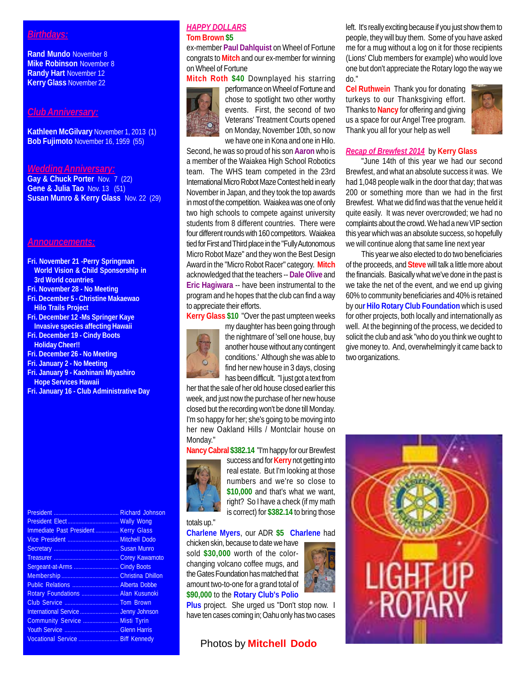# *Birthdays:*

**Rand Mundo** November 8 **Mike Robinson** November 8 **Randy Hart** November 12 **Kerry Glass** November 22

#### *Club Anniversary:*

**Kathleen McGilvary** November 1, 2013 (1) **Bob Fujimoto** November 16, 1959 (55)

### *Wedding Anniversary:*

**Gay & Chuck Porter** Nov. 7 (22) **Gene & Julia Tao** Nov. 13 (51) **Susan Munro & Kerry Glass** Nov. 22 (29)

#### *Announcements:*

- **Fri. November 21 -Perry Springman World Vision & Child Sponsorship in 3rd World countries**
- **Fri. November 28 No Meeting**
- **Fri. December 5 Christine Makaewao Hilo Trails Project**
- **Fri. December 12 -Ms Springer Kaye Invasive species affecting Hawaii**
- **Fri. December 19 Cindy Boots Holiday Cheer!!**
- **Fri. December 26 No Meeting**
- **Fri. January 2 No Meeting**
- **Fri. January 9 Kaohinani Miyashiro Hope Services Hawaii**
- **Fri. January 16 Club Administrative Day**

#### President .......................................... Richard Johnson President Elect ................................. Wally Wong Immediate Past President ................ Kerry Glass<br>Vice President ................................. Mitchell Dodo Vice President ................................. Mitchell Dodo Susan Munro Treasurer .......................................... Corey Kawamoto Sergeant-at-Arms ... Membership ..................................... Christina Dhillon Public Relations .............................. Alberta Dobbe Rotary Foundations ........................ Alan Kusunoki Club Service ................................... Tom Brown International Service ......................... Jenny Johnson Community Service ....................... Misti Tyrin Youth Service ................................... Glenn Harris Vocational Service .......................... Biff Kennedy

#### *HAPPY DOLLARS* **Tom Brown \$5**

ex-member **Paul Dahlquist** on Wheel of Fortune congrats to **Mitch** and our ex-member for winning on Wheel of Fortune



**Mitch Roth \$40** Downplayed his starring performance on Wheel of Fortune and chose to spotlight two other worthy events. First, the second of two Veterans' Treatment Courts opened on Monday, November 10th, so now we have one in Kona and one in Hilo.

Second, he was so proud of his son **Aaron** who is a member of the Waiakea High School Robotics team. The WHS team competed in the 23rd International Micro Robot Maze Contest held in early November in Japan, and they took the top awards in most of the competition. Waiakea was one of only two high schools to compete against university students from 8 different countries. There were four different rounds with 160 competitors. Waiakea tied for First and Third place in the "Fully Autonomous Micro Robot Maze" and they won the Best Design Award in the "Micro Robot Racer" category. **Mitch** acknowledged that the teachers -- **Dale Olive** and **Eric Hagiwara** -- have been instrumental to the program and he hopes that the club can find a way to appreciate their efforts.

**Kerry Glass \$10** "Over the past umpteen weeks



my daughter has been going through the nightmare of 'sell one house, buy another house without any contingent conditions.' Although she was able to find her new house in 3 days, closing has been difficult. "I just got a text from

her that the sale of her old house closed earlier this week, and just now the purchase of her new house closed but the recording won't be done till Monday. I'm so happy for her; she's going to be moving into her new Oakland Hills / Montclair house on Monday."

**Nancy Cabral \$382.14** "I'm happy for our Brewfest



success and for **Kerry** not getting into real estate. But I'm looking at those numbers and we're so close to **\$10,000** and that's what we want, right? So I have a check (if my math is correct) for **\$382.14** to bring those

## totals up."

**Charlene Myers**, our ADR **\$5 Charlene** had

chicken skin, because to date we have sold **\$30,000** worth of the colorchanging volcano coffee mugs, and the Gates Foundation has matched that amount two-to-one for a grand total of **\$90,000** to the **Rotary Club's Polio**

**Plus** project. She urged us "Don't stop now. I have ten cases coming in; Oahu only has two cases

# Photos by **Mitchell Dodo**

left. It's really exciting because if you just show them to people, they will buy them. Some of you have asked me for a mug without a log on it for those recipients (Lions' Club members for example) who would love one but don't appreciate the Rotary logo the way we do."

**Cel Ruthwein** Thank you for donating turkeys to our Thanksgiving effort. Thanks to **Nancy** for offering and giving us a space for our Angel Tree program. Thank you all for your help as well



#### *Recap of Brewfest 2014* by **Kerry Glass**

"June 14th of this year we had our second Brewfest, and what an absolute success it was. We had 1,048 people walk in the door that day; that was 200 or something more than we had in the first Brewfest. What we did find was that the venue held it quite easily. It was never overcrowded; we had no complaints about the crowd. We had a new VIP section this year which was an absolute success, so hopefully we will continue along that same line next year

This year we also elected to do two beneficiaries of the proceeds, and **Steve** will talk a little more about the financials. Basically what we've done in the past is we take the net of the event, and we end up giving 60% to community beneficiaries and 40% is retained by ou**r Hilo Rotary Club Foundation** which is used for other projects, both locally and internationally as well. At the beginning of the process, we decided to solicit the club and ask "who do you think we ought to give money to. And, overwhelmingly it came back to two organizations.